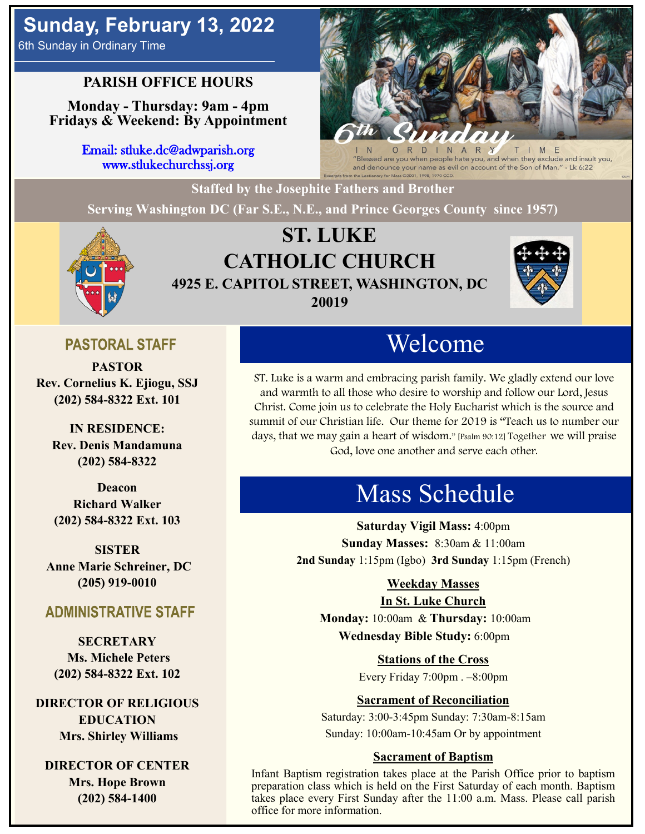# **Sunday, February 13, 2022**

6th Sunday in Ordinary Time

## **PARISH OFFICE HOURS**

**Monday - Thursday: 9am - 4pm Fridays & Weekend: By Appointment**

> Email: stluke.dc@adwparish.org www.stlukechurchssj.org



"Blessed are you when people hate you, and when they exclude and insult you, and denounce your name as evil on account of the Son of Man." - Lk 6:22

**Staffed by the Josephite Fathers and Brother**

**Serving Washington DC (Far S.E., N.E., and Prince Georges County since 1957)**



## **ST. LUKE CATHOLIC CHURCH 4925 E. CAPITOL STREET, WASHINGTON, DC 20019**



## **PASTORAL STAFF**

**PASTOR Rev. Cornelius K. Ejiogu, SSJ (202) 584-8322 Ext. 101**

**IN RESIDENCE: Rev. Denis Mandamuna (202) 584-8322** 

**Deacon Richard Walker (202) 584-8322 Ext. 103**

**SISTER Anne Marie Schreiner, DC (205) 919-0010**

#### **ADMINISTRATIVE STAFF**

**SECRETARY Ms. Michele Peters (202) 584-8322 Ext. 102**

**DIRECTOR OF RELIGIOUS EDUCATION Mrs. Shirley Williams**

**DIRECTOR OF CENTER Mrs. Hope Brown (202) 584-1400**

# Welcome

ST. Luke is a warm and embracing parish family. We gladly extend our love and warmth to all those who desire to worship and follow our Lord, Jesus Christ. Come join us to celebrate the Holy Eucharist which is the source and summit of our Christian life. Our theme for 2019 is "Teach us to number our days, that we may gain a heart of wisdom." [Psalm 90:12] Together we will praise God, love one another and serve each other.

# Mass Schedule

**Saturday Vigil Mass:** 4:00pm **Sunday Masses:** 8:30am & 11:00am **2nd Sunday** 1:15pm (Igbo) **3rd Sunday** 1:15pm (French)

#### **Weekday Masses**

#### **In St. Luke Church**

**Monday:** 10:00am & **Thursday:** 10:00am **Wednesday Bible Study:** 6:00pm

**Stations of the Cross**

Every Friday 7:00pm . –8:00pm

#### **Sacrament of Reconciliation**

Saturday: 3:00-3:45pm Sunday: 7:30am-8:15am Sunday: 10:00am-10:45am Or by appointment

#### **Sacrament of Baptism**

Infant Baptism registration takes place at the Parish Office prior to baptism preparation class which is held on the First Saturday of each month. Baptism takes place every First Sunday after the 11:00 a.m. Mass. Please call parish office for more information.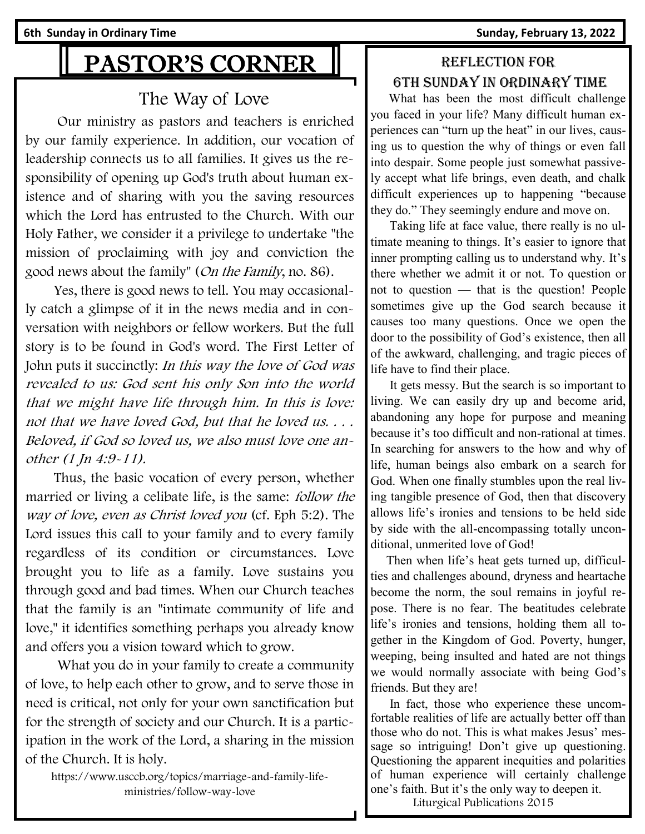**6th Sunday in Ordinary Time Sunday, February 13, 2022** 

# PASTOR'S CORNER

## The Way of Love

 Our ministry as pastors and teachers is enriched by our family experience. In addition, our vocation of leadership connects us to all families. It gives us the responsibility of opening up God's truth about human existence and of sharing with you the saving resources which the Lord has entrusted to the Church. With our Holy Father, we consider it a privilege to undertake "the mission of proclaiming with joy and conviction the good news about the family" (On the Family, no. 86).

 Yes, there is good news to tell. You may occasionally catch a glimpse of it in the news media and in conversation with neighbors or fellow workers. But the full story is to be found in God's word. The First Letter of John puts it succinctly: In this way the love of God was revealed to us: God sent his only Son into the world that we might have life through him. In this is love: not that we have loved God, but that he loved us. . . . Beloved, if God so loved us, we also must love one another (1 Jn 4:9-11).

 Thus, the basic vocation of every person, whether married or living a celibate life, is the same: *follow the* way of love, even as Christ loved you (cf. Eph 5:2). The Lord issues this call to your family and to every family regardless of its condition or circumstances. Love brought you to life as a family. Love sustains you through good and bad times. When our Church teaches that the family is an "intimate community of life and love," it identifies something perhaps you already know and offers you a vision toward which to grow.

 What you do in your family to create a community of love, to help each other to grow, and to serve those in need is critical, not only for your own sanctification but for the strength of society and our Church. It is a participation in the work of the Lord, a sharing in the mission of the Church. It is holy.

https://www.usccb.org/topics/marriage-and-family-lifeministries/follow-way-love

## Reflection for 6th Sunday in Ordinary time

 What has been the most difficult challenge you faced in your life? Many difficult human experiences can "turn up the heat" in our lives, causing us to question the why of things or even fall into despair. Some people just somewhat passively accept what life brings, even death, and chalk difficult experiences up to happening "because they do." They seemingly endure and move on.

 Taking life at face value, there really is no ultimate meaning to things. It's easier to ignore that inner prompting calling us to understand why. It's there whether we admit it or not. To question or not to question — that is the question! People sometimes give up the God search because it causes too many questions. Once we open the door to the possibility of God's existence, then all of the awkward, challenging, and tragic pieces of life have to find their place.

 It gets messy. But the search is so important to living. We can easily dry up and become arid, abandoning any hope for purpose and meaning because it's too difficult and non-rational at times. In searching for answers to the how and why of life, human beings also embark on a search for God. When one finally stumbles upon the real living tangible presence of God, then that discovery allows life's ironies and tensions to be held side by side with the all-encompassing totally unconditional, unmerited love of God!

 Then when life's heat gets turned up, difficulties and challenges abound, dryness and heartache become the norm, the soul remains in joyful repose. There is no fear. The beatitudes celebrate life's ironies and tensions, holding them all together in the Kingdom of God. Poverty, hunger, weeping, being insulted and hated are not things we would normally associate with being God's friends. But they are!

 In fact, those who experience these uncomfortable realities of life are actually better off than those who do not. This is what makes Jesus' message so intriguing! Don't give up questioning. Questioning the apparent inequities and polarities of human experience will certainly challenge one's faith. But it's the only way to deepen it.

Liturgical Publications 2015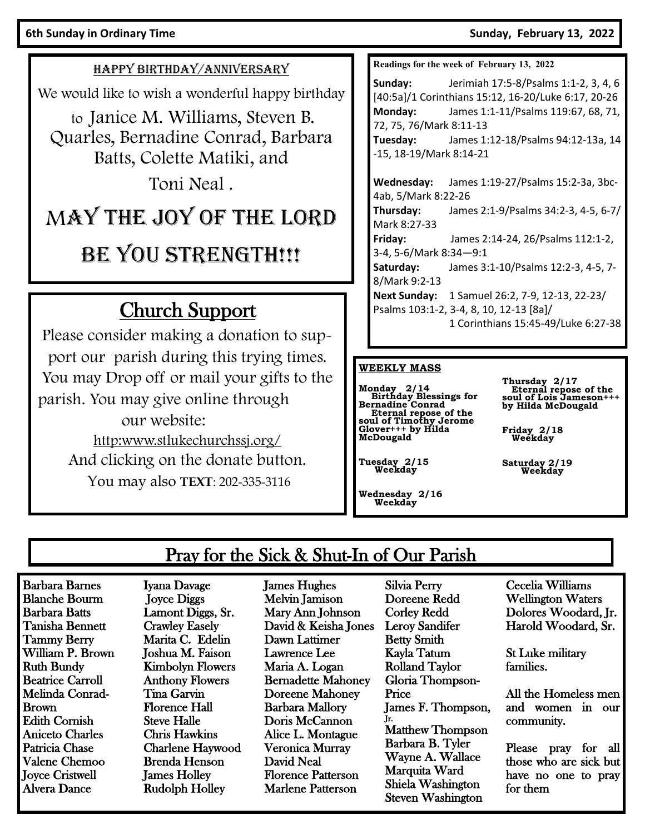**6th Sunday in Ordinary Time Sunday, February 13, 2022** 

#### HAPPY BIRTHDAY/ANNIVERSARY

We would like to wish a wonderful happy birthday

to Janice M. Williams, Steven B. Quarles, Bernadine Conrad, Barbara Batts, Colette Matiki, and

Toni Neal .

# MAY THE JOY OF THE LORD

# BE YOU STRENGTH!!!

# Church Support

Please consider making a donation to support our parish during this trying times. You may Drop off or mail your gifts to the parish. You may give online through our website: http:www.stlukechurchssj.org/ And clicking on the donate button. You may also **TEXT**: 202-335-3116

**Readings for the week of February 13, 2022**

**Sunday:** Jerimiah 17:5-8/Psalms 1:1-2, 3, 4, 6 [40:5a]/1 Corinthians 15:12, 16-20/Luke 6:17, 20-26 **Monday:** James 1:1-11/Psalms 119:67, 68, 71, 72, 75, 76/Mark 8:11-13 **Tuesday:** James 1:12-18/Psalms 94:12-13a, 14

-15, 18-19/Mark 8:14-21

**Wednesday:** James 1:19-27/Psalms 15:2-3a, 3bc-4ab, 5/Mark 8:22-26 **Thursday:** James 2:1-9/Psalms 34:2-3, 4-5, 6-7/ Mark 8:27-33 **Friday:** James 2:14-24, 26/Psalms 112:1-2, 3-4, 5-6/Mark 8:34—9:1 **Saturday:** James 3:1-10/Psalms 12:2-3, 4-5, 7- 8/Mark 9:2-13 **Next Sunday:** 1 Samuel 26:2, 7-9, 12-13, 22-23/ Psalms 103:1-2, 3-4, 8, 10, 12-13 [8a]/ 1 Corinthians 15:45-49/Luke 6:27-38

#### **WEEKLY MASS**

**Monday 2/14 Birthday Blessings for Bernadine Conrad Eternal repose of the soul of Timothy Jerome Glover+++ by Hilda McDougald**

**Thursday 2/17 Eternal repose of the soul of Lois Jameson+++ by Hilda McDougald**

**Friday 2/18 Weekday**

**Saturday 2/19 Weekday**

**Wednesday 2/16 Weekday**

 **Tuesday 2/15 Weekday**

## Pray for the Sick & Shut-In of Our Parish

Barbara Barnes Blanche Bourm Barbara Batts Tanisha Bennett Tammy Berry William P. Brown Ruth Bundy Beatrice Carroll Melinda Conrad-Brown Edith Cornish Aniceto Charles Patricia Chase Valene Chemoo Joyce Cristwell Alvera Dance

Iyana Davage Joyce Diggs Lamont Diggs, Sr. Crawley Easely Marita C. Edelin Joshua M. Faison Kimbolyn Flowers Anthony Flowers Tina Garvin Florence Hall Steve Halle Chris Hawkins Charlene Haywood Brenda Henson James Holley Rudolph Holley

James Hughes Melvin Jamison Mary Ann Johnson David & Keisha Jones Dawn Lattimer Lawrence Lee Maria A. Logan Bernadette Mahoney Doreene Mahoney Barbara Mallory Doris McCannon Alice L. Montague Veronica Murray David Neal Florence Patterson Marlene Patterson

Silvia Perry Doreene Redd Corley Redd Leroy Sandifer Betty Smith Kayla Tatum Rolland Taylor Gloria Thompson-Price James F. Thompson, Jr. Matthew Thompson Barbara B. Tyler Wayne A. Wallace Marquita Ward Shiela Washington Steven Washington

Cecelia Williams Wellington Waters Dolores Woodard, Jr. Harold Woodard, Sr.

St Luke military families.

All the Homeless men and women in our community.

Please pray for all those who are sick but have no one to pray for them